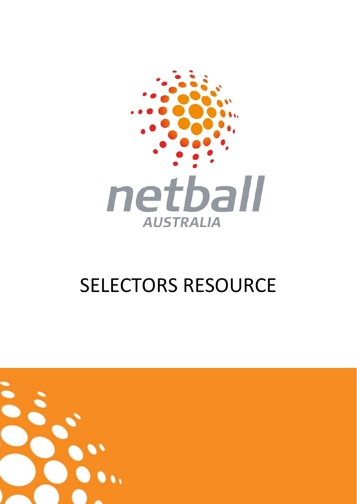

# SELECTORS RESOURCE

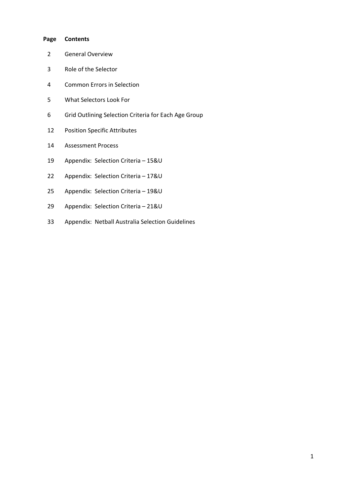#### **Page Contents**

- General Overview
- Role of the Selector
- Common Errors in Selection
- What Selectors Look For
- Grid Outlining Selection Criteria for Each Age Group
- Position Specific Attributes
- Assessment Process
- Appendix: Selection Criteria 15&U
- Appendix: Selection Criteria 17&U
- Appendix: Selection Criteria 19&U
- Appendix: Selection Criteria 21&U
- Appendix: Netball Australia Selection Guidelines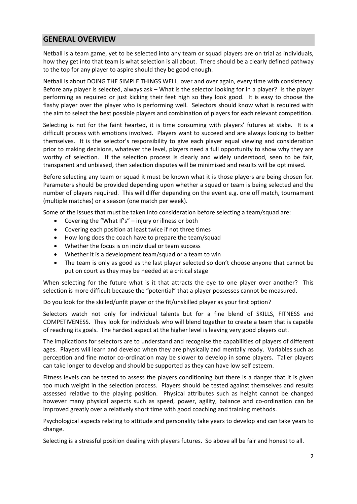## **GENERAL OVERVIEW**

Netball is a team game, yet to be selected into any team or squad players are on trial as individuals, how they get into that team is what selection is all about. There should be a clearly defined pathway to the top for any player to aspire should they be good enough.

Netball is about DOING THE SIMPLE THINGS WELL, over and over again, every time with consistency. Before any player is selected, always ask – What is the selector looking for in a player? Is the player performing as required or just kicking their feet high so they look good. It is easy to choose the flashy player over the player who is performing well. Selectors should know what is required with the aim to select the best possible players and combination of players for each relevant competition.

Selecting is not for the faint hearted, it is time consuming with players' futures at stake. It is a difficult process with emotions involved. Players want to succeed and are always looking to better themselves. It is the selector's responsibility to give each player equal viewing and consideration prior to making decisions, whatever the level, players need a full opportunity to show why they are worthy of selection. If the selection process is clearly and widely understood, seen to be fair, transparent and unbiased, then selection disputes will be minimised and results will be optimised.

Before selecting any team or squad it must be known what it is those players are being chosen for. Parameters should be provided depending upon whether a squad or team is being selected and the number of players required. This will differ depending on the event e.g. one off match, tournament (multiple matches) or a season (one match per week).

Some of the issues that must be taken into consideration before selecting a team/squad are:

- Covering the "What If's" injury or illness or both
- Covering each position at least twice if not three times
- How long does the coach have to prepare the team/squad
- Whether the focus is on individual or team success
- Whether it is a development team/squad or a team to win
- The team is only as good as the last player selected so don't choose anyone that cannot be put on court as they may be needed at a critical stage

When selecting for the future what is it that attracts the eye to one player over another? This selection is more difficult because the "potential" that a player possesses cannot be measured.

Do you look for the skilled/unfit player or the fit/unskilled player as your first option?

Selectors watch not only for individual talents but for a fine blend of SKILLS, FITNESS and COMPETIVENESS. They look for individuals who will blend together to create a team that is capable of reaching its goals. The hardest aspect at the higher level is leaving very good players out.

The implications for selectors are to understand and recognise the capabilities of players of different ages. Players will learn and develop when they are physically and mentally ready. Variables such as perception and fine motor co-ordination may be slower to develop in some players. Taller players can take longer to develop and should be supported as they can have low self esteem.

Fitness levels can be tested to assess the players conditioning but there is a danger that it is given too much weight in the selection process. Players should be tested against themselves and results assessed relative to the playing position. Physical attributes such as height cannot be changed however many physical aspects such as speed, power, agility, balance and co-ordination can be improved greatly over a relatively short time with good coaching and training methods.

Psychological aspects relating to attitude and personality take years to develop and can take years to change.

Selecting is a stressful position dealing with players futures. So above all be fair and honest to all.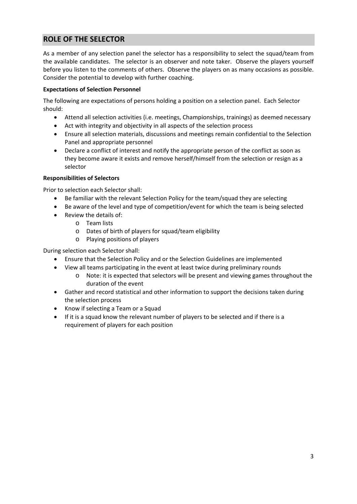# **ROLE OF THE SELECTOR**

As a member of any selection panel the selector has a responsibility to select the squad/team from the available candidates. The selector is an observer and note taker. Observe the players yourself before you listen to the comments of others. Observe the players on as many occasions as possible. Consider the potential to develop with further coaching.

## **Expectations of Selection Personnel**

The following are expectations of persons holding a position on a selection panel. Each Selector should:

- Attend all selection activities (i.e. meetings, Championships, trainings) as deemed necessary
- Act with integrity and objectivity in all aspects of the selection process
- Ensure all selection materials, discussions and meetings remain confidential to the Selection Panel and appropriate personnel
- Declare a conflict of interest and notify the appropriate person of the conflict as soon as they become aware it exists and remove herself/himself from the selection or resign as a selector

## **Responsibilities of Selectors**

Prior to selection each Selector shall:

- Be familiar with the relevant Selection Policy for the team/squad they are selecting
- Be aware of the level and type of competition/event for which the team is being selected
- Review the details of:
	- o Team lists
	- o Dates of birth of players for squad/team eligibility
	- o Playing positions of players

During selection each Selector shall:

- Ensure that the Selection Policy and or the Selection Guidelines are implemented
- View all teams participating in the event at least twice during preliminary rounds
	- o Note: it is expected that selectors will be present and viewing games throughout the duration of the event
- Gather and record statistical and other information to support the decisions taken during the selection process
- Know if selecting a Team or a Squad
- If it is a squad know the relevant number of players to be selected and if there is a requirement of players for each position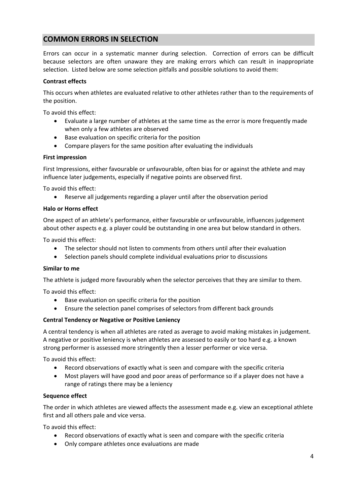# **COMMON ERRORS IN SELECTION**

Errors can occur in a systematic manner during selection. Correction of errors can be difficult because selectors are often unaware they are making errors which can result in inappropriate selection. Listed below are some selection pitfalls and possible solutions to avoid them:

## **Contrast effects**

This occurs when athletes are evaluated relative to other athletes rather than to the requirements of the position.

To avoid this effect:

- Evaluate a large number of athletes at the same time as the error is more frequently made when only a few athletes are observed
- Base evaluation on specific criteria for the position
- Compare players for the same position after evaluating the individuals

## **First impression**

First Impressions, either favourable or unfavourable, often bias for or against the athlete and may influence later judgements, especially if negative points are observed first.

To avoid this effect:

Reserve all judgements regarding a player until after the observation period

## **Halo or Horns effect**

One aspect of an athlete's performance, either favourable or unfavourable, influences judgement about other aspects e.g. a player could be outstanding in one area but below standard in others.

To avoid this effect:

- The selector should not listen to comments from others until after their evaluation
- Selection panels should complete individual evaluations prior to discussions

## **Similar to me**

The athlete is judged more favourably when the selector perceives that they are similar to them.

To avoid this effect:

- Base evaluation on specific criteria for the position
- Ensure the selection panel comprises of selectors from different back grounds

## **Central Tendency or Negative or Positive Leniency**

A central tendency is when all athletes are rated as average to avoid making mistakes in judgement. A negative or positive leniency is when athletes are assessed to easily or too hard e.g. a known strong performer is assessed more stringently then a lesser performer or vice versa.

To avoid this effect:

- Record observations of exactly what is seen and compare with the specific criteria
- Most players will have good and poor areas of performance so if a player does not have a range of ratings there may be a leniency

## **Sequence effect**

The order in which athletes are viewed affects the assessment made e.g. view an exceptional athlete first and all others pale and vice versa.

To avoid this effect:

- Record observations of exactly what is seen and compare with the specific criteria
- Only compare athletes once evaluations are made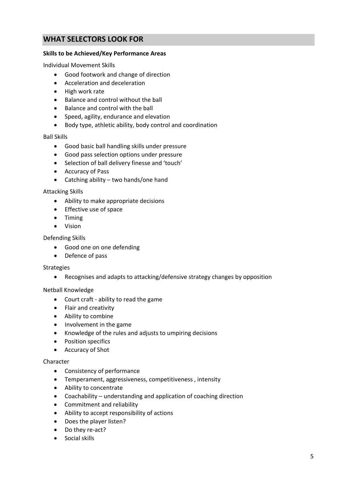# **WHAT SELECTORS LOOK FOR**

## **Skills to be Achieved/Key Performance Areas**

Individual Movement Skills

- Good footwork and change of direction
- Acceleration and deceleration
- High work rate
- Balance and control without the ball
- Balance and control with the ball
- Speed, agility, endurance and elevation
- Body type, athletic ability, body control and coordination

#### Ball Skills

- Good basic ball handling skills under pressure
- Good pass selection options under pressure
- Selection of ball delivery finesse and 'touch'
- Accuracy of Pass
- Catching ability two hands/one hand

## Attacking Skills

- Ability to make appropriate decisions
- **•** Effective use of space
- Timing
- Vision

## Defending Skills

- Good one on one defending
- Defence of pass

## Strategies

Recognises and adapts to attacking/defensive strategy changes by opposition

## Netball Knowledge

- Court craft ability to read the game
- Flair and creativity
- Ability to combine
- Involvement in the game
- Knowledge of the rules and adjusts to umpiring decisions
- Position specifics
- Accuracy of Shot

## Character

- Consistency of performance
- Temperament, aggressiveness, competitiveness , intensity
- Ability to concentrate
- Coachability understanding and application of coaching direction
- Commitment and reliability
- Ability to accept responsibility of actions
- Does the player listen?
- Do they re-act?
- Social skills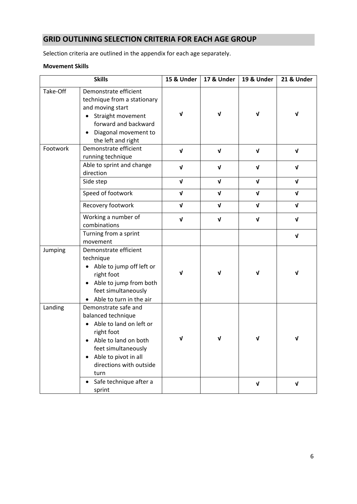# **GRID OUTLINING SELECTION CRITERIA FOR EACH AGE GROUP**

Selection criteria are outlined in the appendix for each age separately.

## **Movement Skills**

|          | <b>Skills</b>                                                                                                                                                                                                                     | 15 & Under  | 17 & Under   | <b>19 &amp; Under</b> | <b>21 &amp; Under</b> |
|----------|-----------------------------------------------------------------------------------------------------------------------------------------------------------------------------------------------------------------------------------|-------------|--------------|-----------------------|-----------------------|
| Take-Off | Demonstrate efficient<br>technique from a stationary<br>and moving start<br>Straight movement<br>$\bullet$<br>forward and backward<br>Diagonal movement to<br>$\bullet$<br>the left and right                                     | V           | $\sqrt{ }$   | $\mathbf v$           | V                     |
| Footwork | Demonstrate efficient<br>running technique                                                                                                                                                                                        | $\sqrt{ }$  | $\mathbf v$  | $\mathbf v$           | V                     |
|          | Able to sprint and change<br>direction                                                                                                                                                                                            | $\sqrt{ }$  | $\mathbf v$  | $\mathbf v$           | V                     |
|          | Side step                                                                                                                                                                                                                         | $\sqrt{ }$  | $\sqrt{ }$   | $\mathbf{v}$          | $\mathbf v$           |
|          | Speed of footwork                                                                                                                                                                                                                 | $\sqrt{ }$  | $\sqrt{ }$   | $\sqrt{ }$            | $\sqrt{ }$            |
|          | Recovery footwork                                                                                                                                                                                                                 | $\mathbf v$ | $\mathbf{v}$ | $\mathbf{v}$          | $\mathbf{v}$          |
|          | Working a number of<br>combinations                                                                                                                                                                                               | $\sqrt{ }$  | $\mathbf v$  | $\mathbf{v}$          | $\sqrt{ }$            |
|          | Turning from a sprint<br>movement                                                                                                                                                                                                 |             |              |                       | V                     |
| Jumping  | Demonstrate efficient<br>technique<br>Able to jump off left or<br>$\bullet$<br>right foot<br>Able to jump from both<br>$\bullet$<br>feet simultaneously<br>• Able to turn in the air                                              | ν           | V            | ν                     | V                     |
| Landing  | Demonstrate safe and<br>balanced technique<br>Able to land on left or<br>$\bullet$<br>right foot<br>$\bullet$ Able to land on both<br>feet simultaneously<br>Able to pivot in all<br>$\bullet$<br>directions with outside<br>turn | $\mathbf v$ | $\mathbf{v}$ | $\mathbf v$           | $\mathbf v$           |
|          | Safe technique after a<br>sprint                                                                                                                                                                                                  |             |              | $\mathbf{v}$          | V                     |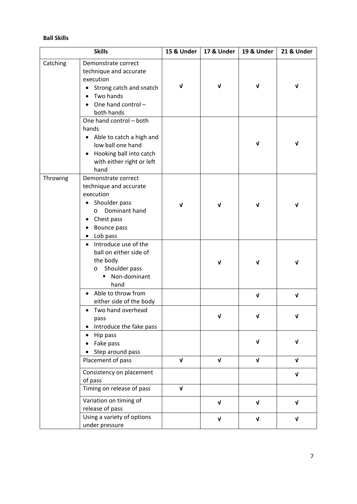## **Ball Skills**

|          | <b>Skills</b>                                                                                                                                                                                | 15 & Under         | 17 & Under         | 19 & Under         | 21 & Under  |
|----------|----------------------------------------------------------------------------------------------------------------------------------------------------------------------------------------------|--------------------|--------------------|--------------------|-------------|
| Catching | Demonstrate correct<br>technique and accurate<br>execution<br>Strong catch and snatch<br>$\bullet$<br>Two hands<br>$\bullet$<br>One hand control-<br>both hands                              | $\mathbf v$        | $\sqrt{ }$         | $\mathbf v$        | $\mathbf v$ |
|          | One hand control - both<br>hands<br>Able to catch a high and<br>$\bullet$<br>low ball one hand<br>Hooking ball into catch<br>$\bullet$<br>with either right or left<br>hand                  |                    |                    | $\mathbf v$        | $\mathbf v$ |
| Throwing | Demonstrate correct<br>technique and accurate<br>execution<br>Shoulder pass<br>$\bullet$<br>Dominant hand<br>$\circ$<br>Chest pass<br>٠<br>Bounce pass<br>$\bullet$<br>Lob pass<br>$\bullet$ | ν                  | V                  | $\mathbf v$        | V           |
|          | Introduce use of the<br>$\bullet$<br>ball on either side of<br>the body<br>Shoulder pass<br>$\circ$<br>Non-dominant<br>hand                                                                  |                    | V                  | ν                  | V           |
|          | Able to throw from<br>$\bullet$<br>either side of the body                                                                                                                                   |                    |                    | $\pmb{\mathsf{V}}$ | $\sqrt{ }$  |
|          | Two hand overhead<br>$\bullet$<br>pass<br>Introduce the fake pass<br>$\bullet$                                                                                                               |                    |                    |                    |             |
|          | Hip pass<br>$\bullet$<br>Fake pass<br>Step around pass                                                                                                                                       |                    |                    | $\mathbf v$        | V           |
|          | Placement of pass                                                                                                                                                                            | $\pmb{\mathsf{V}}$ | $\pmb{\mathsf{V}}$ | $\mathbf{v}$       | $\mathbf v$ |
|          | Consistency on placement<br>of pass<br>Timing on release of pass                                                                                                                             | V                  |                    |                    | V           |
|          | Variation on timing of                                                                                                                                                                       |                    |                    |                    |             |
|          | release of pass                                                                                                                                                                              |                    | $\mathbf v$        | $\mathbf v$        | V           |
|          | Using a variety of options<br>under pressure                                                                                                                                                 |                    | $\pmb{\mathsf{V}}$ | $\sqrt{ }$         | $\sqrt{ }$  |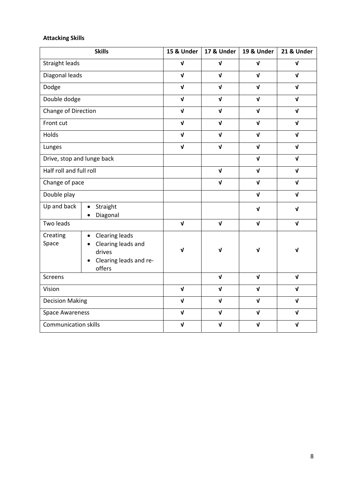# **Attacking Skills**

|                             | <b>Skills</b>                                                                                                         | 15 & Under   | 17 & Under   | 19 & Under   | 21 & Under   |
|-----------------------------|-----------------------------------------------------------------------------------------------------------------------|--------------|--------------|--------------|--------------|
| <b>Straight leads</b>       |                                                                                                                       | $\sqrt{ }$   | $\mathbf{v}$ | $\sqrt{ }$   | $\mathbf{v}$ |
| Diagonal leads              |                                                                                                                       | $\mathbf{v}$ | $\mathbf{v}$ | $\mathbf{v}$ | $\mathbf{v}$ |
| Dodge                       |                                                                                                                       | $\mathbf{v}$ | $\mathbf{v}$ | $\mathbf{v}$ | $\mathbf{v}$ |
| Double dodge                |                                                                                                                       | $\sqrt{ }$   | $\mathbf{v}$ | $\mathbf{v}$ | $\mathbf{v}$ |
| Change of Direction         |                                                                                                                       | $\mathbf{v}$ | $\mathbf{v}$ | $\mathbf{v}$ | $\mathbf{v}$ |
| Front cut                   |                                                                                                                       | $\mathbf v$  | $\mathbf{v}$ | $\mathbf{v}$ | $\mathbf{v}$ |
| Holds                       |                                                                                                                       | $\mathbf{V}$ | $\mathbf{v}$ | $\mathbf{v}$ | $\mathbf{v}$ |
| Lunges                      |                                                                                                                       | $\mathbf{V}$ | $\mathbf{v}$ | $\mathbf{v}$ | $\mathbf{v}$ |
| Drive, stop and lunge back  |                                                                                                                       |              |              | $\mathbf{v}$ | $\mathbf{v}$ |
| Half roll and full roll     |                                                                                                                       |              | $\mathbf{v}$ | $\mathbf{v}$ | $\mathbf{v}$ |
| Change of pace              |                                                                                                                       |              | $\mathbf{v}$ | $\mathbf{v}$ | $\mathbf{v}$ |
| Double play                 |                                                                                                                       |              |              | $\mathbf{v}$ | $\mathbf{v}$ |
| Up and back                 | Straight<br>$\bullet$<br>Diagonal<br>$\bullet$                                                                        |              |              | $\mathbf v$  | $\mathbf{v}$ |
| Two leads                   |                                                                                                                       | $\mathbf{v}$ | $\mathbf{v}$ | $\mathbf v$  | $\mathbf{v}$ |
| Creating<br>Space           | <b>Clearing leads</b><br>$\bullet$<br>• Clearing leads and<br>drives<br>Clearing leads and re-<br>$\bullet$<br>offers | $\sqrt{ }$   | $\mathbf{V}$ | $\sqrt{ }$   | $\sqrt{ }$   |
| Screens                     |                                                                                                                       |              | $\mathbf{v}$ | $\mathbf{v}$ | $\mathbf{v}$ |
| Vision                      |                                                                                                                       | $\sqrt{ }$   | $\mathbf{v}$ | $\sqrt{ }$   | $\mathbf{v}$ |
| <b>Decision Making</b>      |                                                                                                                       | $\mathbf{v}$ | $\mathbf{v}$ | $\mathbf{v}$ | $\mathbf{v}$ |
| <b>Space Awareness</b>      |                                                                                                                       | $\mathbf{V}$ | $\sqrt{ }$   | $\sqrt{ }$   | $\mathbf{v}$ |
| <b>Communication skills</b> |                                                                                                                       | $\mathbf{v}$ | $\mathbf v$  | $\mathbf{v}$ | $\mathbf{v}$ |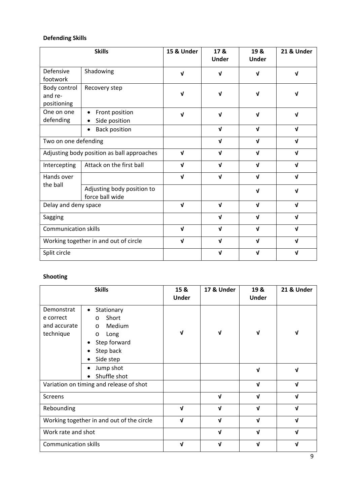# **Defending Skills**

|                                            | <b>Skills</b>                                 | 15 & Under  | 17 &<br><b>Under</b> | 19 &<br><b>Under</b> | 21 & Under   |
|--------------------------------------------|-----------------------------------------------|-------------|----------------------|----------------------|--------------|
| Defensive<br>footwork                      | Shadowing                                     | $\mathbf v$ | V                    | $\mathbf v$          | $\mathbf v$  |
| Body control<br>and re-<br>positioning     | Recovery step                                 | $\mathbf v$ | ν                    | V                    | ν            |
| One on one<br>defending                    | Front position<br>Side position               | $\mathbf v$ | ν                    | $\mathbf v$          | ν            |
|                                            | <b>Back position</b>                          |             | $\mathbf{V}$         | $\mathbf{v}$         | $\mathbf{v}$ |
| Two on one defending                       |                                               |             | $\mathbf{v}$         | $\mathbf{v}$         | $\mathbf{v}$ |
| Adjusting body position as ball approaches |                                               | $\mathbf v$ | $\mathbf{v}$         | $\mathbf{v}$         | $\mathbf{v}$ |
| Intercepting                               | Attack on the first ball                      | $\mathbf v$ | $\mathbf{v}$         | $\mathbf{v}$         | $\mathbf v$  |
| Hands over                                 |                                               | $\mathbf v$ | $\mathbf v$          | $\mathbf{v}$         | $\mathbf{v}$ |
| the ball                                   | Adjusting body position to<br>force ball wide |             |                      | $\mathbf{v}$         | $\mathbf v$  |
| Delay and deny space                       |                                               | $\mathbf v$ | $\mathbf v$          | $\mathbf{v}$         | $\mathbf v$  |
| Sagging                                    |                                               |             | $\mathbf{v}$         | $\mathbf{v}$         | $\mathbf{v}$ |
| <b>Communication skills</b>                |                                               | $\mathbf v$ | $\mathbf v$          | $\mathbf{v}$         | $\mathbf{v}$ |
| Working together in and out of circle      |                                               | $\mathbf v$ | $\mathbf v$          | $\mathbf{v}$         | $\mathbf{v}$ |
| Split circle                               |                                               |             | V                    | $\mathbf{v}$         | $\mathbf{v}$ |

# **Shooting**

|                                                      | <b>Skills</b>                                                                                                                 | 15 &<br><b>Under</b> | 17 & Under   | 19 &<br><b>Under</b> | 21 & Under   |
|------------------------------------------------------|-------------------------------------------------------------------------------------------------------------------------------|----------------------|--------------|----------------------|--------------|
| Demonstrat<br>e correct<br>and accurate<br>technique | Stationary<br>$\bullet$<br>Short<br>$\circ$<br>Medium<br>$\circ$<br>Long<br>$\circ$<br>Step forward<br>Step back<br>Side step | ν                    | V            | V                    | ν            |
|                                                      | Jump shot<br>Shuffle shot                                                                                                     |                      |              | V                    | ν            |
|                                                      | Variation on timing and release of shot                                                                                       |                      |              | $\mathbf{v}$         | $\mathbf{v}$ |
| Screens                                              |                                                                                                                               |                      | $\mathbf v$  | $\mathbf{v}$         | ν            |
| Rebounding                                           |                                                                                                                               | $\mathbf{V}$         | $\mathbf{v}$ | $\mathbf{v}$         | V            |
|                                                      | Working together in and out of the circle                                                                                     | $\mathbf{v}$         | $\mathbf{v}$ | V                    | $\mathbf{v}$ |
| Work rate and shot                                   |                                                                                                                               |                      | $\mathbf{v}$ | V                    | V            |
| <b>Communication skills</b>                          |                                                                                                                               | ν                    | ν            | V                    | ν            |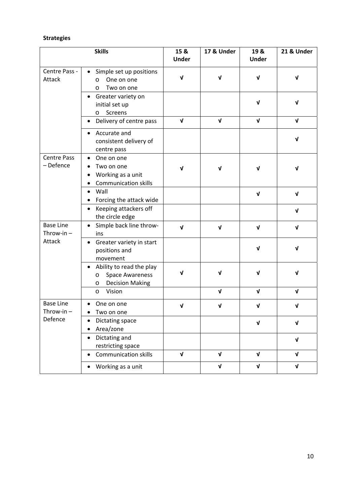# **Strategies**

|                                  | <b>Skills</b>                                                                                                   | 15 &<br><b>Under</b> | 17 & Under   | 19 &<br><b>Under</b> | 21 & Under         |
|----------------------------------|-----------------------------------------------------------------------------------------------------------------|----------------------|--------------|----------------------|--------------------|
| Centre Pass -<br>Attack          | Simple set up positions<br>One on one<br>$\circ$<br>Two on one<br>O                                             | $\sqrt{ }$           | $\mathbf{V}$ | $\mathbf{V}$         | $\sqrt{ }$         |
|                                  | Greater variety on<br>initial set up<br>Screens<br>$\circ$                                                      |                      |              | $\mathbf{v}$         | $\mathbf v$        |
|                                  | Delivery of centre pass<br>$\bullet$                                                                            | $\sqrt{ }$           | $\mathbf{V}$ | $\mathbf{v}$         | $\mathbf v$        |
|                                  | Accurate and<br>consistent delivery of<br>centre pass                                                           |                      |              |                      | $\sqrt{ }$         |
| <b>Centre Pass</b><br>- Defence  | One on one<br>Two on one<br>Working as a unit<br>٠<br><b>Communication skills</b>                               | ν                    | $\mathbf v$  | $\mathbf{v}$         | ν                  |
|                                  | Wall<br>$\bullet$<br>Forcing the attack wide                                                                    |                      |              | $\mathbf{v}$         | $\mathbf v$        |
|                                  | Keeping attackers off<br>٠<br>the circle edge                                                                   |                      |              |                      | $\mathbf v$        |
| <b>Base Line</b><br>Throw-in $-$ | Simple back line throw-<br>ins                                                                                  | $\mathbf v$          | $\mathbf{v}$ | $\mathbf{v}$         | V                  |
| Attack                           | • Greater variety in start<br>positions and<br>movement                                                         |                      |              | $\mathbf{v}$         | $\mathbf v$        |
|                                  | Ability to read the play<br>$\bullet$<br><b>Space Awareness</b><br>$\circ$<br><b>Decision Making</b><br>$\circ$ | ν                    | $\mathbf{v}$ | $\mathbf v$          | ν                  |
|                                  | Vision<br>$\circ$                                                                                               |                      | $\sqrt{ }$   | $\mathbf{v}$         | V                  |
| <b>Base Line</b><br>Throw-in $-$ | One on one<br>Two on one                                                                                        | V                    | V            | V                    | V                  |
| Defence                          | Dictating space<br>٠<br>Area/zone<br>$\bullet$                                                                  |                      |              | $\mathbf{v}$         | $\mathbf v$        |
|                                  | Dictating and<br>$\bullet$<br>restricting space                                                                 |                      |              |                      | $\pmb{\mathsf{V}}$ |
|                                  | Communication skills                                                                                            | $\sqrt{ }$           | $\sqrt{ }$   | $\mathbf{v}$         | $\sqrt{ }$         |
|                                  | Working as a unit                                                                                               |                      | $\sqrt{ }$   | $\mathbf{v}$         | $\mathbf v$        |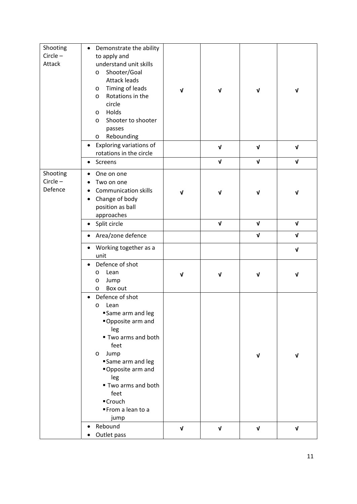| Shooting<br>$Circle -$<br>Attack  | Demonstrate the ability<br>$\bullet$<br>to apply and<br>understand unit skills<br>Shooter/Goal<br>$\circ$<br><b>Attack leads</b><br>Timing of leads<br>O<br>Rotations in the<br>$\circ$<br>circle<br>Holds<br>$\circ$<br>Shooter to shooter<br>$\circ$<br>passes<br>Rebounding<br>$\circ$<br>Exploring variations of<br>$\bullet$<br>rotations in the circle | $\mathbf v$ | $\mathbf v$<br>$\pmb{\mathsf{v}}$ | $\mathbf v$<br>$\sqrt{ }$ | V<br>V             |
|-----------------------------------|--------------------------------------------------------------------------------------------------------------------------------------------------------------------------------------------------------------------------------------------------------------------------------------------------------------------------------------------------------------|-------------|-----------------------------------|---------------------------|--------------------|
|                                   | Screens                                                                                                                                                                                                                                                                                                                                                      |             | $\pmb{\mathsf{v}}$                | $\pmb{\mathsf{V}}$        | $\sqrt{ }$         |
| Shooting<br>$Circle -$<br>Defence | One on one<br>٠<br>Two on one<br><b>Communication skills</b><br>Change of body<br>٠<br>position as ball<br>approaches                                                                                                                                                                                                                                        | ν           | $\sqrt{ }$                        | $\mathbf v$               | $\sqrt{ }$         |
|                                   | Split circle<br>٠                                                                                                                                                                                                                                                                                                                                            |             | $\sqrt{ }$                        | $\mathbf{v}$              | $\sqrt{ }$         |
|                                   | Area/zone defence<br>٠                                                                                                                                                                                                                                                                                                                                       |             |                                   | $\mathbf{v}$              | $\mathbf v$        |
|                                   | Working together as a<br>٠<br>unit                                                                                                                                                                                                                                                                                                                           |             |                                   |                           | $\pmb{\mathsf{V}}$ |
|                                   | Defence of shot<br>Lean<br>O<br>Jump<br>$\circ$<br>Box out<br>O                                                                                                                                                                                                                                                                                              | V           | $\mathbf{V}$                      | $\mathbf v$               | $\sqrt{ }$         |
|                                   | Defence of shot<br>Lean<br>O<br>Same arm and leg<br>Opposite arm and<br>leg<br>■ Two arms and both<br>feet<br>Jump<br>$\circ$<br>Same arm and leg<br>Opposite arm and<br>leg<br>■ Two arms and both<br>feet<br>■Crouch<br>From a lean to a<br>jump                                                                                                           |             |                                   | $\mathbf v$               | $\mathbf v$        |
|                                   | Rebound<br>Outlet pass<br>٠                                                                                                                                                                                                                                                                                                                                  | $\sqrt{ }$  | $\pmb{\mathsf{V}}$                | $\sqrt{ }$                | V                  |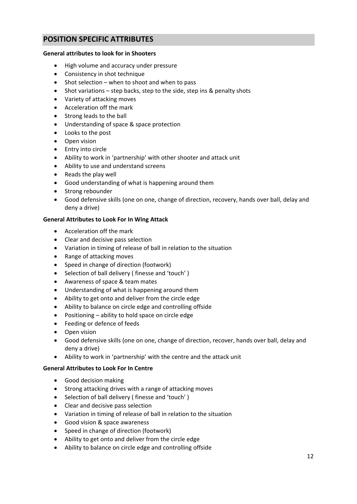# **POSITION SPECIFIC ATTRIBUTES**

## **General attributes to look for in Shooters**

- High volume and accuracy under pressure
- Consistency in shot technique
- $\bullet$  Shot selection when to shoot and when to pass
- Shot variations step backs, step to the side, step ins & penalty shots
- Variety of attacking moves
- Acceleration off the mark
- Strong leads to the ball
- Understanding of space & space protection
- Looks to the post
- Open vision
- Entry into circle
- Ability to work in 'partnership' with other shooter and attack unit
- Ability to use and understand screens
- Reads the play well
- Good understanding of what is happening around them
- Strong rebounder
- Good defensive skills (one on one, change of direction, recovery, hands over ball, delay and deny a drive)

## **General Attributes to Look For In Wing Attack**

- Acceleration off the mark
- Clear and decisive pass selection
- Variation in timing of release of ball in relation to the situation
- Range of attacking moves
- Speed in change of direction (footwork)
- Selection of ball delivery (finesse and 'touch')
- Awareness of space & team mates
- Understanding of what is happening around them
- Ability to get onto and deliver from the circle edge
- Ability to balance on circle edge and controlling offside
- Positioning ability to hold space on circle edge
- Feeding or defence of feeds
- Open vision
- Good defensive skills (one on one, change of direction, recover, hands over ball, delay and deny a drive)
- Ability to work in 'partnership' with the centre and the attack unit

## **General Attributes to Look For In Centre**

- Good decision making
- Strong attacking drives with a range of attacking moves
- Selection of ball delivery (finesse and 'touch')
- Clear and decisive pass selection
- Variation in timing of release of ball in relation to the situation
- Good vision & space awareness
- Speed in change of direction (footwork)
- Ability to get onto and deliver from the circle edge
- Ability to balance on circle edge and controlling offside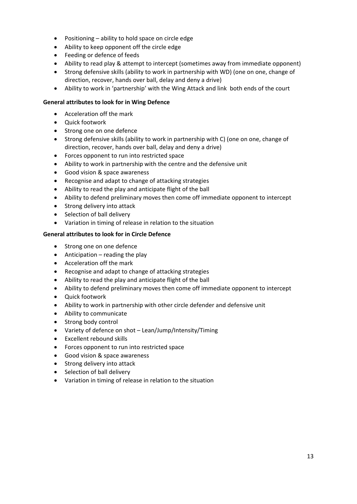- Positioning ability to hold space on circle edge
- Ability to keep opponent off the circle edge
- Feeding or defence of feeds
- Ability to read play & attempt to intercept (sometimes away from immediate opponent)
- Strong defensive skills (ability to work in partnership with WD) (one on one, change of direction, recover, hands over ball, delay and deny a drive)
- Ability to work in 'partnership' with the Wing Attack and link both ends of the court

## **General attributes to look for in Wing Defence**

- Acceleration off the mark
- Quick footwork
- Strong one on one defence
- Strong defensive skills (ability to work in partnership with C) (one on one, change of direction, recover, hands over ball, delay and deny a drive)
- Forces opponent to run into restricted space
- Ability to work in partnership with the centre and the defensive unit
- Good vision & space awareness
- Recognise and adapt to change of attacking strategies
- Ability to read the play and anticipate flight of the ball
- Ability to defend preliminary moves then come off immediate opponent to intercept
- Strong delivery into attack
- Selection of ball delivery
- Variation in timing of release in relation to the situation

## **General attributes to look for in Circle Defence**

- Strong one on one defence
- $\bullet$  Anticipation reading the play
- Acceleration off the mark
- Recognise and adapt to change of attacking strategies
- Ability to read the play and anticipate flight of the ball
- Ability to defend preliminary moves then come off immediate opponent to intercept
- Quick footwork
- Ability to work in partnership with other circle defender and defensive unit
- Ability to communicate
- Strong body control
- Variety of defence on shot Lean/Jump/Intensity/Timing
- Excellent rebound skills
- Forces opponent to run into restricted space
- Good vision & space awareness
- Strong delivery into attack
- Selection of ball delivery
- Variation in timing of release in relation to the situation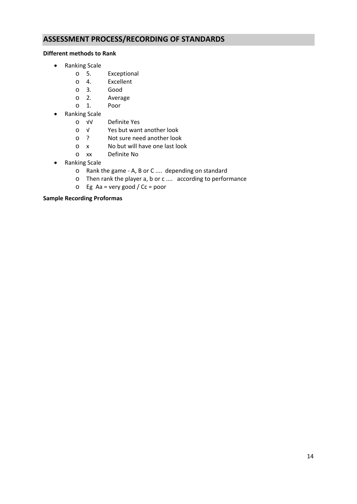# **ASSESSMENT PROCESS/RECORDING OF STANDARDS**

## **Different methods to Rank**

- Ranking Scale
	- o 5. Exceptional
	- o 4. Excellent
	- o 3. Good
	- o 2. Average
	- o 1. Poor
- Ranking Scale
	- o √√ Definite Yes
	- Yes but want another look
	- o ? Not sure need another look
	- o x No but will have one last look
	- o xx Definite No
- Ranking Scale
	- o Rank the game ‐ A, B or C .... depending on standard
	- o Then rank the player a, b or c .... according to performance
	- o Eg Aa = very good / Cc = poor

## **Sample Recording Proformas**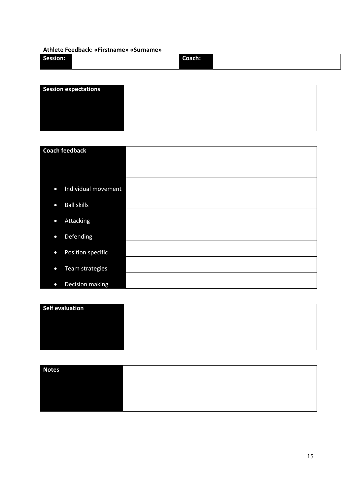## **Athlete Feedback: «Firstname» «Surname»**

| Session: | Coach: |
|----------|--------|
|          |        |

| <b>Session expectations</b> |  |
|-----------------------------|--|
|                             |  |
|                             |  |
|                             |  |
|                             |  |

| <b>Coach feedback</b>            |  |
|----------------------------------|--|
|                                  |  |
|                                  |  |
|                                  |  |
| Individual movement<br>$\bullet$ |  |
|                                  |  |
| <b>Ball skills</b><br>$\bullet$  |  |
|                                  |  |
| <b>Attacking</b><br>$\bullet$    |  |
|                                  |  |
| Defending<br>$\bullet$           |  |
| Position specific<br>$\bullet$   |  |
|                                  |  |
| Team strategies<br>$\bullet$     |  |
|                                  |  |
| Decision making<br>$\bullet$     |  |

| Self evaluation |  |
|-----------------|--|
|                 |  |
|                 |  |
|                 |  |
|                 |  |

| <b>Notes</b> |  |
|--------------|--|
|              |  |
|              |  |
|              |  |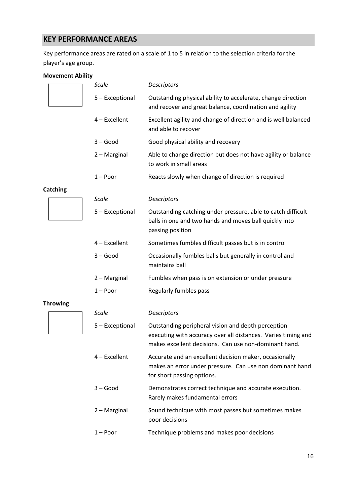# **KEY PERFORMANCE AREAS**

Key performance areas are rated on a scale of 1 to 5 in relation to the selection criteria for the player's age group.

## **Movement Ability**

| <b>Scale</b>    | Descriptors                                                                                                                                                                  |
|-----------------|------------------------------------------------------------------------------------------------------------------------------------------------------------------------------|
| 5 - Exceptional | Outstanding physical ability to accelerate, change direction<br>and recover and great balance, coordination and agility                                                      |
| 4 - Excellent   | Excellent agility and change of direction and is well balanced<br>and able to recover                                                                                        |
| $3 - Good$      | Good physical ability and recovery                                                                                                                                           |
| 2 - Marginal    | Able to change direction but does not have agility or balance<br>to work in small areas                                                                                      |
| $1 -$ Poor      | Reacts slowly when change of direction is required                                                                                                                           |
|                 |                                                                                                                                                                              |
| <b>Scale</b>    | Descriptors                                                                                                                                                                  |
| 5 - Exceptional | Outstanding catching under pressure, able to catch difficult<br>balls in one and two hands and moves ball quickly into<br>passing position                                   |
| 4 - Excellent   | Sometimes fumbles difficult passes but is in control                                                                                                                         |
| $3 - Good$      | Occasionally fumbles balls but generally in control and<br>maintains ball                                                                                                    |
| 2 - Marginal    | Fumbles when pass is on extension or under pressure                                                                                                                          |
| $1 -$ Poor      | Regularly fumbles pass                                                                                                                                                       |
|                 |                                                                                                                                                                              |
| <b>Scale</b>    | Descriptors                                                                                                                                                                  |
| 5 - Exceptional | Outstanding peripheral vision and depth perception<br>executing with accuracy over all distances. Varies timing and<br>makes excellent decisions. Can use non-dominant hand. |
| 4 - Excellent   | Accurate and an excellent decision maker, occasionally<br>makes an error under pressure. Can use non dominant hand<br>for short passing options.                             |
| $3 - Good$      | Demonstrates correct technique and accurate execution.<br>Rarely makes fundamental errors                                                                                    |
| 2 - Marginal    | Sound technique with most passes but sometimes makes<br>poor decisions                                                                                                       |
| $1 -$ Poor      | Technique problems and makes poor decisions                                                                                                                                  |
|                 |                                                                                                                                                                              |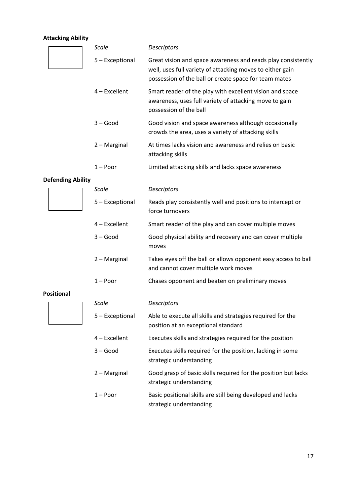# **Attacking Ability**

|                          | Scale           | <b>Descriptors</b>                                                                                                                                                                 |
|--------------------------|-----------------|------------------------------------------------------------------------------------------------------------------------------------------------------------------------------------|
|                          | 5 - Exceptional | Great vision and space awareness and reads play consistently<br>well, uses full variety of attacking moves to either gain<br>possession of the ball or create space for team mates |
|                          | 4 - Excellent   | Smart reader of the play with excellent vision and space<br>awareness, uses full variety of attacking move to gain<br>possession of the ball                                       |
|                          | $3 - Good$      | Good vision and space awareness although occasionally<br>crowds the area, uses a variety of attacking skills                                                                       |
|                          | 2 - Marginal    | At times lacks vision and awareness and relies on basic<br>attacking skills                                                                                                        |
|                          | $1 -$ Poor      | Limited attacking skills and lacks space awareness                                                                                                                                 |
| <b>Defending Ability</b> |                 |                                                                                                                                                                                    |
|                          | <b>Scale</b>    | <b>Descriptors</b>                                                                                                                                                                 |
|                          | 5 - Exceptional | Reads play consistently well and positions to intercept or<br>force turnovers                                                                                                      |
|                          | 4 - Excellent   | Smart reader of the play and can cover multiple moves                                                                                                                              |
|                          | $3 - Good$      | Good physical ability and recovery and can cover multiple<br>moves                                                                                                                 |
|                          | 2 - Marginal    | Takes eyes off the ball or allows opponent easy access to ball<br>and cannot cover multiple work moves                                                                             |
|                          | $1 -$ Poor      | Chases opponent and beaten on preliminary moves                                                                                                                                    |
| <b>Positional</b>        |                 |                                                                                                                                                                                    |
|                          | <b>Scale</b>    | Descriptors                                                                                                                                                                        |
|                          | 5 - Exceptional | Able to execute all skills and strategies required for the<br>position at an exceptional standard                                                                                  |
|                          | 4 - Excellent   | Executes skills and strategies required for the position                                                                                                                           |
|                          | $3 - Good$      | Executes skills required for the position, lacking in some<br>strategic understanding                                                                                              |
|                          | 2 - Marginal    | Good grasp of basic skills required for the position but lacks<br>strategic understanding                                                                                          |
|                          | $1 -$ Poor      | Basic positional skills are still being developed and lacks<br>strategic understanding                                                                                             |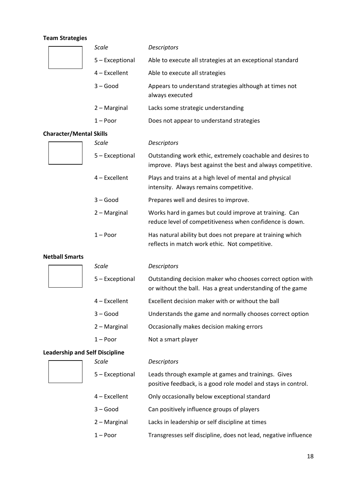# **Team Strategies**

|                                       | <b>Scale</b>    | <b>Descriptors</b>                                                                                                         |
|---------------------------------------|-----------------|----------------------------------------------------------------------------------------------------------------------------|
|                                       | 5 - Exceptional | Able to execute all strategies at an exceptional standard                                                                  |
|                                       | $4$ – Excellent | Able to execute all strategies                                                                                             |
|                                       | $3 - Good$      | Appears to understand strategies although at times not<br>always executed                                                  |
|                                       | 2 - Marginal    | Lacks some strategic understanding                                                                                         |
|                                       | $1 -$ Poor      | Does not appear to understand strategies                                                                                   |
| <b>Character/Mental Skills</b>        |                 |                                                                                                                            |
|                                       | <b>Scale</b>    | Descriptors                                                                                                                |
|                                       | 5 - Exceptional | Outstanding work ethic, extremely coachable and desires to<br>improve. Plays best against the best and always competitive. |
|                                       | $4$ – Excellent | Plays and trains at a high level of mental and physical<br>intensity. Always remains competitive.                          |
|                                       | $3 - Good$      | Prepares well and desires to improve.                                                                                      |
|                                       | 2 - Marginal    | Works hard in games but could improve at training. Can<br>reduce level of competitiveness when confidence is down.         |
|                                       | $1 -$ Poor      | Has natural ability but does not prepare at training which<br>reflects in match work ethic. Not competitive.               |
| <b>Netball Smarts</b>                 |                 |                                                                                                                            |
|                                       | <b>Scale</b>    | Descriptors                                                                                                                |
|                                       | 5 - Exceptional | Outstanding decision maker who chooses correct option with<br>or without the ball. Has a great understanding of the game   |
|                                       | 4 - Excellent   | Excellent decision maker with or without the ball                                                                          |
|                                       | $3 - Good$      | Understands the game and normally chooses correct option                                                                   |
|                                       | 2 - Marginal    | Occasionally makes decision making errors                                                                                  |
|                                       | $1 -$ Poor      | Not a smart player                                                                                                         |
| <b>Leadership and Self Discipline</b> |                 |                                                                                                                            |
|                                       | <b>Scale</b>    | Descriptors                                                                                                                |
|                                       | 5 - Exceptional | Leads through example at games and trainings. Gives<br>positive feedback, is a good role model and stays in control.       |
|                                       |                 |                                                                                                                            |
|                                       | 4 - Excellent   | Only occasionally below exceptional standard                                                                               |
|                                       | $3 - Good$      | Can positively influence groups of players                                                                                 |

1 – Poor Transgresses self discipline, does not lead, negative influence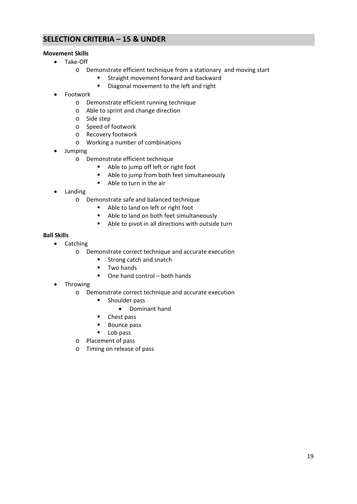# **SELECTION CRITERIA – 15 & UNDER**

## **Movement Skills**

- Take‐Off
	- o Demonstrate efficient technique from a stationary and moving start
		- **F** Straight movement forward and backward
		- Diagonal movement to the left and right
- Footwork
	- o Demonstrate efficient running technique
	- o Able to sprint and change direction
	- o Side step
	- o Speed of footwork
	- o Recovery footwork
	- o Working a number of combinations
- Jumping
	- o Demonstrate efficient technique
		- Able to jump off left or right foot
		- Able to jump from both feet simultaneously
		- Able to turn in the air
- Landing
	- o Demonstrate safe and balanced technique
		- Able to land on left or right foot
		- Able to land on both feet simultaneously
		- Able to pivot in all directions with outside turn

## **Ball Skills**

- Catching
	- o Demonstrate correct technique and accurate execution
		- Strong catch and snatch
		- **Two hands**
		- $\blacksquare$  One hand control both hands
- Throwing
	- o Demonstrate correct technique and accurate execution
		- **EXECUTE:** Shoulder pass
			- Dominant hand
		- Chest pass
		- Bounce pass
		- **Lob pass**
	- o Placement of pass
	- o Timing on release of pass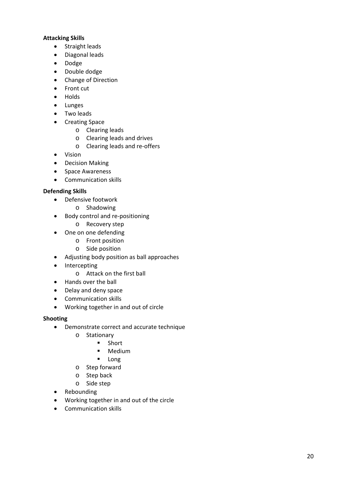## **Attacking Skills**

- Straight leads
- Diagonal leads
- Dodge
- Double dodge
- Change of Direction
- Front cut
- Holds
- Lunges
- Two leads
- Creating Space
	- o Clearing leads
	- o Clearing leads and drives
	- o Clearing leads and re‐offers
- Vision
- Decision Making
- Space Awareness
- Communication skills

## **Defending Skills**

- Defensive footwork
	- o Shadowing
- Body control and re-positioning
	- o Recovery step
- One on one defending
	- o Front position
	- o Side position
- Adjusting body position as ball approaches
- Intercepting
	- o Attack on the first ball
- Hands over the ball
- Delay and deny space
- Communication skills
- Working together in and out of circle

## **Shooting**

- Demonstrate correct and accurate technique
	- o Stationary
		- **Short** 
			- **Medium**
			- **Long**
	- o Step forward
	- o Step back
	- o Side step
- Rebounding
- Working together in and out of the circle
- Communication skills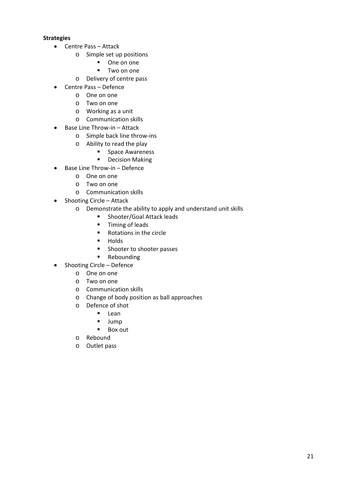## **Strategies**

- Centre Pass Attack
	- o Simple set up positions
		- One on one
		- **Two on one**
	- o Delivery of centre pass
- Centre Pass Defence
	- o One on one
	- o Two on one
	- o Working as a unit
	- o Communication skills
- Base Line Throw-in Attack
	- o Simple back line throw‐ins
	- o Ability to read the play
		- **Space Awareness**
		- **•** Decision Making
- Base Line Throw-in Defence
	- o One on one
	- o Two on one
	- o Communication skills
- Shooting Circle Attack
	- o Demonstrate the ability to apply and understand unit skills
		- **Exercise Shooter/Goal Attack leads** 
			- **Timing of leads**
			- Rotations in the circle
			- · Holds
			- **Shooter to shooter passes**
			- **Rebounding**
- Shooting Circle Defence
	- o One on one
	- o Two on one
	- o Communication skills
	- o Change of body position as ball approaches
	- o Defence of shot
		- **Lean**
		- **Jump**
		- **Box out**
	- o Rebound
	- o Outlet pass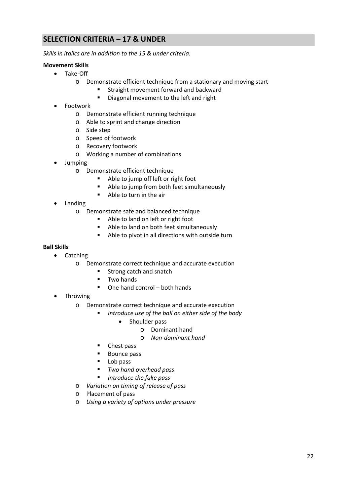# **SELECTION CRITERIA – 17 & UNDER**

*Skills in italics are in addition to the 15 & under criteria.*

## **Movement Skills**

- Take‐Off
	- o Demonstrate efficient technique from a stationary and moving start
		- **Straight movement forward and backward**
		- Diagonal movement to the left and right
- Footwork
	- o Demonstrate efficient running technique
	- o Able to sprint and change direction
	- o Side step
	- o Speed of footwork
	- o Recovery footwork
	- o Working a number of combinations
- Jumping
	- o Demonstrate efficient technique
		- Able to jump off left or right foot
		- Able to jump from both feet simultaneously
		- Able to turn in the air
- Landing
	- o Demonstrate safe and balanced technique
		- Able to land on left or right foot
		- Able to land on both feet simultaneously
		- Able to pivot in all directions with outside turn

## **Ball Skills**

- Catching
	- o Demonstrate correct technique and accurate execution
		- **Strong catch and snatch**
		- **Two hands**
		- One hand control both hands
- Throwing
	- o Demonstrate correct technique and accurate execution
		- *Introduce use of the ball on either side of the body*
			- Shoulder pass
				- o Dominant hand
				- o *Non‐dominant hand*
		- Chest pass
		- **Bounce pass**
		- Lob pass
		- *Two hand overhead pass*
		- *Introduce the fake pass*
	- o *Variation on timing of release of pass*
	- o Placement of pass
	- o *Using a variety of options under pressure*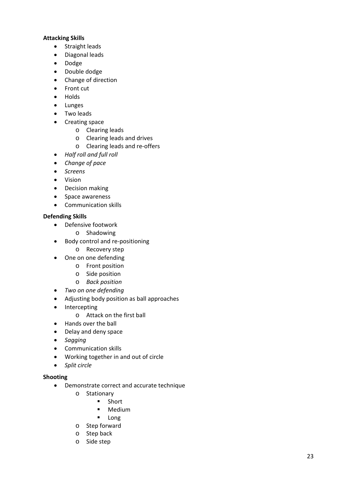## **Attacking Skills**

- Straight leads
- Diagonal leads
- Dodge
- Double dodge
- Change of direction
- Front cut
- Holds
- Lunges
- Two leads
- Creating space
	- o Clearing leads
	- o Clearing leads and drives
	- o Clearing leads and re‐offers
- *Half roll and full roll*
- *Change of pace*
- *Screens*
- Vision
- Decision making
- Space awareness
- Communication skills

## **Defending Skills**

- Defensive footwork
	- o Shadowing
- Body control and re-positioning
	- o Recovery step
- One on one defending
	- o Front position
	- o Side position
	- o *Back position*
- *Two on one defending*
- Adjusting body position as ball approaches
- Intercepting
	- o Attack on the first ball
- Hands over the ball
- Delay and deny space
- *Sagging*
- Communication skills
- Working together in and out of circle
- *Split circle*

## **Shooting**

- Demonstrate correct and accurate technique
	- o Stationary
		- **Short**
		- **-** Medium
		- **Long**
	- o Step forward
	- o Step back
	- o Side step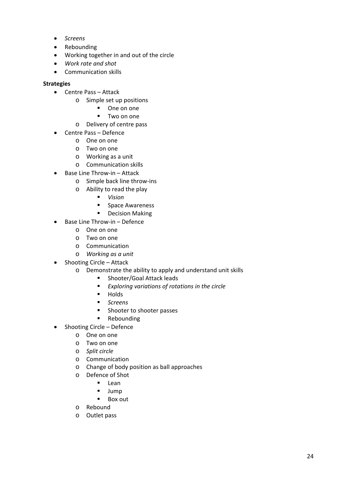- *Screens*
- Rebounding
- Working together in and out of the circle
- *Work rate and shot*
- Communication skills

## **Strategies**

- Centre Pass Attack
	- o Simple set up positions
		- One on one
		- **Two on one**
	- o Delivery of centre pass
- Centre Pass Defence
	- o One on one
	- o Two on one
	- o Working as a unit
	- o Communication skills
- Base Line Throw-in Attack
	- o Simple back line throw‐ins
	- o Ability to read the play
		- *Vision*
		- **Space Awareness**
		- **•** Decision Making
- Base Line Throw-in Defence
	- o One on one
	- o Two on one
	- o Communication
	- o *Working as a unit*
- Shooting Circle Attack
	- o Demonstrate the ability to apply and understand unit skills
		- **Shooter/Goal Attack leads**
		- *Exploring variations of rotations in the circle*
		- $Holds$
		- *Screens*
		- **Shooter to shooter passes**
		- **Rebounding**
- Shooting Circle Defence
	- o One on one
	- o Two on one
	- o *Split circle*
	- o Communication
	- o Change of body position as ball approaches
	- o Defence of Shot
		- **Lean**
		-
		- $Jump$ <br>Roxe Box out
	- o Rebound
	- o Outlet pass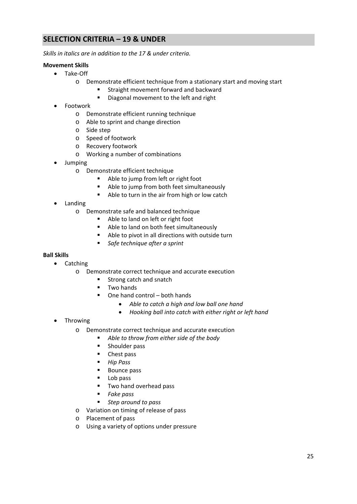# **SELECTION CRITERIA – 19 & UNDER**

*Skills in italics are in addition to the 17 & under criteria.*

## **Movement Skills**

- Take‐Off
	- o Demonstrate efficient technique from a stationary start and moving start
		- **Straight movement forward and backward**
		- Diagonal movement to the left and right
- Footwork
	- o Demonstrate efficient running technique
	- o Able to sprint and change direction
	- o Side step
	- o Speed of footwork
	- o Recovery footwork
	- o Working a number of combinations
- Jumping
	- o Demonstrate efficient technique
		- Able to jump from left or right foot
		- Able to jump from both feet simultaneously
		- Able to turn in the air from high or low catch
- Landing
	- o Demonstrate safe and balanced technique
		- Able to land on left or right foot
		- Able to land on both feet simultaneously
		- Able to pivot in all directions with outside turn
		- *Safe technique after a sprint*

## **Ball Skills**

- Catching
	- o Demonstrate correct technique and accurate execution
		- **Strong catch and snatch**
		- **Two hands**
		- $\blacksquare$  One hand control both hands
			- *Able to catch a high and low ball one hand*
			- *Hooking ball into catch with either right or left hand*
- Throwing
	- o Demonstrate correct technique and accurate execution
		- *Able to throw from either side of the body*
		- **Shoulder pass**
		- Chest pass
		- *Hip Pass*
		- Bounce pass
		- Lob pass
		- **Two hand overhead pass**
		- *Fake pass*
		- *Step around to pass*
	- o Variation on timing of release of pass
	- o Placement of pass
	- o Using a variety of options under pressure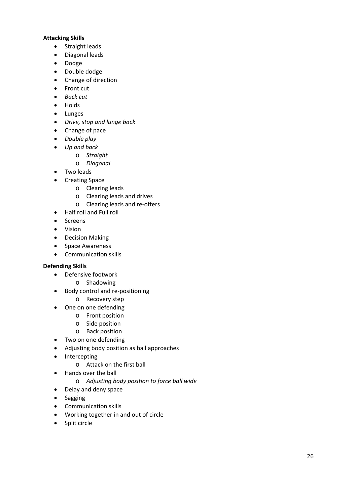## **Attacking Skills**

- Straight leads
- Diagonal leads
- Dodge
- Double dodge
- Change of direction
- Front cut
- *Back cut*
- Holds
- Lunges
- *Drive, stop and lunge back*
- Change of pace
- *Double play*
- *Up and back*
	- o *Straight*
	- o *Diagonal*
- Two leads
- Creating Space
	- o Clearing leads
	- o Clearing leads and drives
	- o Clearing leads and re‐offers
- Half roll and Full roll
- Screens
- Vision
- Decision Making
- Space Awareness
- Communication skills

## **Defending Skills**

- Defensive footwork
	- o Shadowing
- Body control and re-positioning
	- o Recovery step
- One on one defending
	- o Front position
	- o Side position
	- o Back position
- Two on one defending
- Adjusting body position as ball approaches
- Intercepting
	- o Attack on the first ball
- Hands over the ball
	- o *Adjusting body position to force ball wide*
- Delay and deny space
- Sagging
- Communication skills
- Working together in and out of circle
- Split circle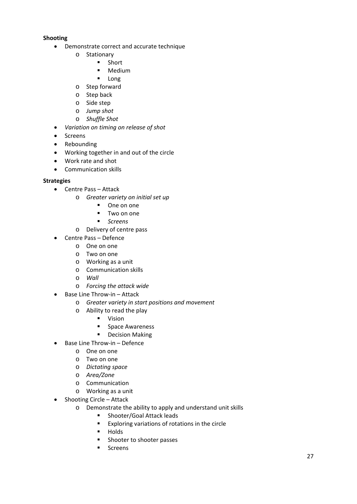## **Shooting**

- Demonstrate correct and accurate technique
	- o Stationary
		- **Short**
		- **Medium**
		- **Long**
	- o Step forward
	- o Step back
	- o Side step
	- o *Jump shot*
	- o *Shuffle Shot*
- *Variation on timing on release of shot*
- Screens
- Rebounding
- Working together in and out of the circle
- Work rate and shot
- Communication skills

## **Strategies**

- Centre Pass Attack
	- o *Greater variety on initial set up*
		- **One on one**
		- **Two on one**
		- *Screens*
		- o Delivery of centre pass
- Centre Pass Defence
	- o One on one
	- o Two on one
	- o Working as a unit
	- o Communication skills
	- o *Wall*
	- o *Forcing the attack wide*
- Base Line Throw-in Attack
	- o *Greater variety in start positions and movement*
	- o Ability to read the play
		- **vision**
		- **Space Awareness**
		- **•** Decision Making
- Base Line Throw-in Defence
	- o One on one
	- o Two on one
	- o *Dictating space*
	- o *Area/Zone*
	- o Communication
	- o Working as a unit
- Shooting Circle Attack
	- o Demonstrate the ability to apply and understand unit skills
		- **Shooter/Goal Attack leads**
		- Exploring variations of rotations in the circle
		- $Holds$
		- **Shooter to shooter passes**
		- **Screens**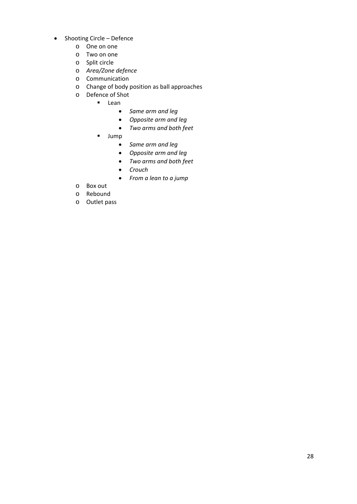- Shooting Circle Defence
	- o One on one
	- o Two on one
	- o Split circle
	- o *Area/Zone defence*
	- o Communication
	- o Change of body position as ball approaches
	- o Defence of Shot
		- **Lean** 
			- *Same arm and leg*
			- *Opposite arm and leg*
			- *Two arms and both feet*
		- **Jump** 
			- *Same arm and leg*
			- *Opposite arm and leg*
			- *Two arms and both feet*
			- *Crouch*
			- *From a lean to a jump*
	- o Box out
	- o Rebound
	- o Outlet pass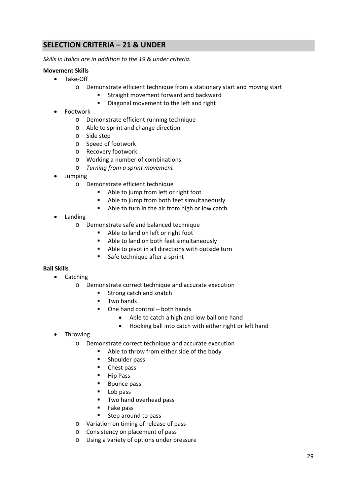# **SELECTION CRITERIA – 21 & UNDER**

*Skills in italics are in addition to the 19 & under criteria.*

## **Movement Skills**

- Take‐Off
	- o Demonstrate efficient technique from a stationary start and moving start
		- **Straight movement forward and backward**
		- Diagonal movement to the left and right
- Footwork
	- o Demonstrate efficient running technique
	- o Able to sprint and change direction
	- o Side step
	- o Speed of footwork
	- o Recovery footwork
	- o Working a number of combinations
	- o *Turning from a sprint movement*
- Jumping
	- o Demonstrate efficient technique
		- Able to jump from left or right foot
		- Able to jump from both feet simultaneously
		- Able to turn in the air from high or low catch
- Landing
	- o Demonstrate safe and balanced technique
		- Able to land on left or right foot
		- Able to land on both feet simultaneously
		- Able to pivot in all directions with outside turn
		- **Safe technique after a sprint**

## **Ball Skills**

- Catching
	- o Demonstrate correct technique and accurate execution
		- **Strong catch and snatch**
		- **Two hands**
		- One hand control both hands
			- Able to catch a high and low ball one hand
			- Hooking ball into catch with either right or left hand
- Throwing
	- o Demonstrate correct technique and accurate execution
		- Able to throw from either side of the body
		- **Shoulder pass**
		- Chest pass
		- Hip Pass
		- **Bounce pass**
		- Lob pass
		- **Two hand overhead pass**
		- **Fake pass**
		- **Step around to pass**
	- o Variation on timing of release of pass
	- o Consistency on placement of pass
	- o Using a variety of options under pressure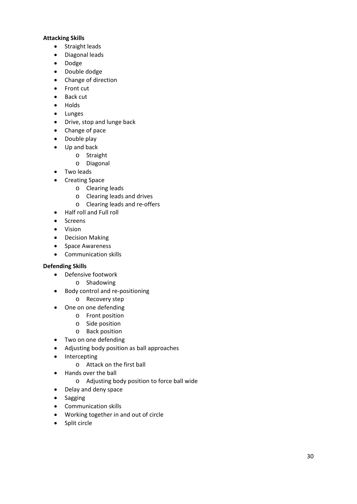## **Attacking Skills**

- Straight leads
- Diagonal leads
- Dodge
- Double dodge
- Change of direction
- Front cut
- Back cut
- Holds
- Lunges
- Drive, stop and lunge back
- Change of pace
- Double play
- Up and back
	- o Straight
	- o Diagonal
- Two leads
- Creating Space
	- o Clearing leads
	- o Clearing leads and drives
	- o Clearing leads and re‐offers
- Half roll and Full roll
- Screens
- Vision
- Decision Making
- Space Awareness
- Communication skills

## **Defending Skills**

- Defensive footwork
	- o Shadowing
- Body control and re-positioning
	- o Recovery step
- One on one defending
	- o Front position
	- o Side position
	- o Back position
- Two on one defending
- Adjusting body position as ball approaches
- Intercepting
	- o Attack on the first ball
- Hands over the ball
	- o Adjusting body position to force ball wide
- Delay and deny space
- Sagging
- Communication skills
- Working together in and out of circle
- Split circle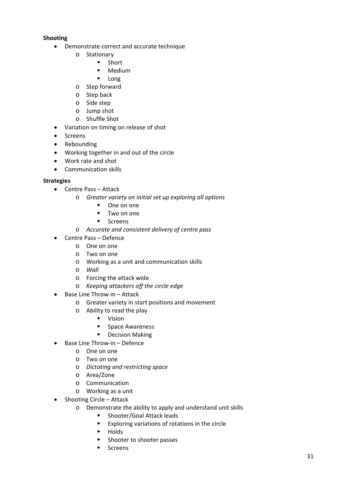## **Shooting**

- Demonstrate correct and accurate technique
	- o Stationary
		- **Short**
		- **Medium**
		- **Long**
	- o Step forward
	- o Step back
	- o Side step
	- o Jump shot
	- o Shuffle Shot
- Variation on timing on release of shot
- Screens
- Rebounding
- Working together in and out of the circle
- Work rate and shot
- Communication skills

## **Strategies**

- Centre Pass Attack
	- o *Greater variety on initial set up exploring all options*
		- **•** One on one
		- **Two on one**
		- **Screens**
		- o *Accurate and consistent delivery of centre pass*
- Centre Pass Defence
	- o One on one
	- o Two on one
	- o Working as a unit and communication skills
	- o *Wall*
	- o Forcing the attack wide
	- o *Keeping attackers off the circle edge*
- Base Line Throw-in Attack
	- o Greater variety in start positions and movement
	- o Ability to read the play
		- **vision**
		- **Space Awareness**
		- **•** Decision Making
- Base Line Throw-in Defence
	- o One on one
	- o Two on one
	- o *Dictating and restricting space*
	- o Area/Zone
	- o Communication
	- o Working as a unit
- Shooting Circle Attack
	- o Demonstrate the ability to apply and understand unit skills
		- **Shooter/Goal Attack leads**
		- Exploring variations of rotations in the circle
		- $Holds$
		- **Shooter to shooter passes**
		- **Screens**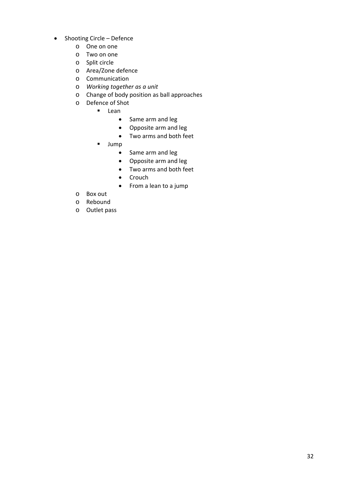- Shooting Circle Defence
	- o One on one
	- o Two on one
	- o Split circle
	- o Area/Zone defence
	- o Communication
	- o *Working together as a unit*
	- o Change of body position as ball approaches
	- o Defence of Shot
		- **Lean** 
			- Same arm and leg
			- Opposite arm and leg
			- Two arms and both feet
			- **Jump** 
				- Same arm and leg
				- Opposite arm and leg
				- Two arms and both feet
				- Crouch
				- From a lean to a jump
	- o Box out
	- o Rebound
	- o Outlet pass